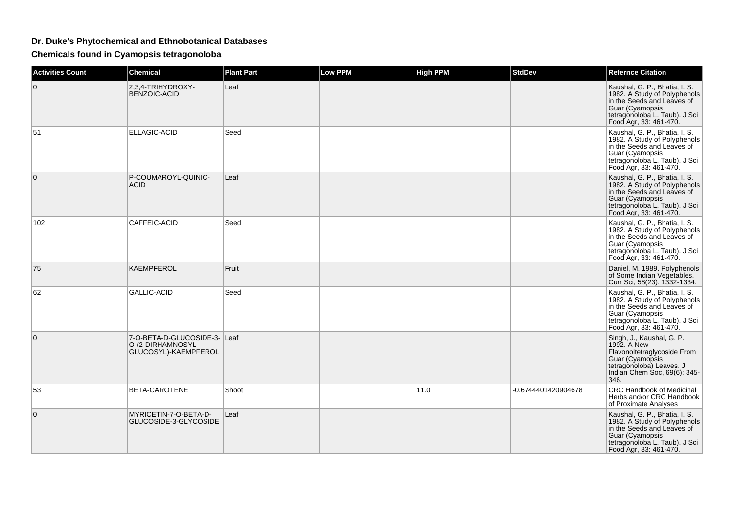## **Dr. Duke's Phytochemical and Ethnobotanical Databases**

**Chemicals found in Cyamopsis tetragonoloba**

| <b>Activities Count</b> | <b>Chemical</b>                                                           | <b>Plant Part</b> | <b>Low PPM</b> | <b>High PPM</b> | <b>StdDev</b>       | <b>Refernce Citation</b>                                                                                                                                                  |
|-------------------------|---------------------------------------------------------------------------|-------------------|----------------|-----------------|---------------------|---------------------------------------------------------------------------------------------------------------------------------------------------------------------------|
| $\mathbf 0$             | 2,3,4-TRIHYDROXY-<br>BENZOIC-ACID                                         | Leaf              |                |                 |                     | Kaushal, G. P., Bhatia, I. S.<br>1982. A Study of Polyphenols<br>in the Seeds and Leaves of<br>Guar (Cyamopsis<br>tetragonoloba L. Taub). J Sci<br>Food Agr, 33: 461-470. |
| 51                      | <b>ELLAGIC-ACID</b>                                                       | Seed              |                |                 |                     | Kaushal, G. P., Bhatia, I. S.<br>1982. A Study of Polyphenols<br>in the Seeds and Leaves of<br>Guar (Cyamopsis<br>tetragonoloba L. Taub). J Sci<br>Food Agr, 33: 461-470. |
| $\Omega$                | P-COUMAROYL-QUINIC-<br><b>ACID</b>                                        | Leaf              |                |                 |                     | Kaushal, G. P., Bhatia, I. S.<br>1982. A Study of Polyphenols<br>in the Seeds and Leaves of<br>Guar (Cyamopsis<br>tetragonoloba L. Taub). J Sci<br>Food Agr, 33: 461-470. |
| 102                     | CAFFEIC-ACID                                                              | Seed              |                |                 |                     | Kaushal, G. P., Bhatia, I. S.<br>1982. A Study of Polyphenols<br>in the Seeds and Leaves of<br>Guar (Cyamopsis<br>tetragonoloba L. Taub). J Sci<br>Food Agr, 33: 461-470. |
| 75                      | <b>KAEMPFEROL</b>                                                         | Fruit             |                |                 |                     | Daniel, M. 1989. Polyphenols<br>of Some Indian Vegetables.<br>Curr Sci, 58(23): 1332-1334.                                                                                |
| 62                      | <b>GALLIC-ACID</b>                                                        | Seed              |                |                 |                     | Kaushal, G. P., Bhatia, I. S.<br>1982. A Study of Polyphenols<br>in the Seeds and Leaves of<br>Guar (Cyamopsis<br>tetragonoloba L. Taub). J Sci<br>Food Agr, 33: 461-470. |
| 0                       | 7-O-BETA-D-GLUCOSIDE-3- Leaf<br>O-(2-DIRHAMNOSYL-<br>GLUCOSYL)-KAEMPFEROL |                   |                |                 |                     | Singh, J., Kaushal, G. P.<br>1992. A New<br>Flavonoltetraglycoside From<br>Guar (Cyamopsis<br>tetragonoloba) Leaves. J<br>Indian Chem Soc, 69(6): 345-<br>346.            |
| 53                      | BETA-CAROTENE                                                             | Shoot             |                | 11.0            | -0.6744401420904678 | CRC Handbook of Medicinal<br>Herbs and/or CRC Handbook<br>of Proximate Analyses                                                                                           |
| $\mathbf{0}$            | MYRICETIN-7-O-BETA-D-<br>GLUCOSIDE-3-GLYCOSIDE                            | Leaf              |                |                 |                     | Kaushal, G. P., Bhatia, I. S.<br>1982. A Study of Polyphenols<br>in the Seeds and Leaves of<br>Guar (Cyamopsis<br>tetragonoloba L. Taub). J Sci<br>Food Agr, 33: 461-470. |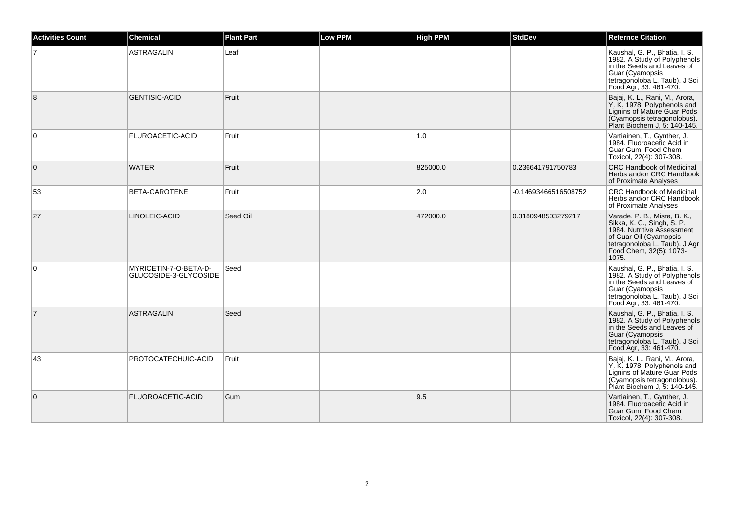| <b>Activities Count</b> | <b>Chemical</b>                                | <b>Plant Part</b> | <b>Low PPM</b> | <b>High PPM</b> | <b>StdDev</b>        | <b>Refernce Citation</b>                                                                                                                                                                |
|-------------------------|------------------------------------------------|-------------------|----------------|-----------------|----------------------|-----------------------------------------------------------------------------------------------------------------------------------------------------------------------------------------|
| $\overline{7}$          | <b>ASTRAGALIN</b>                              | Leaf              |                |                 |                      | Kaushal, G. P., Bhatia, I. S.<br>1982. A Study of Polyphenols<br>in the Seeds and Leaves of<br>Guar (Cyamopsis<br>tetragonoloba L. Taub). J Sci<br>Food Agr, 33: 461-470.               |
| 8                       | <b>GENTISIC-ACID</b>                           | Fruit             |                |                 |                      | Bajaj, K. L., Rani, M., Arora,<br>Y. K. 1978. Polyphenols and<br>Lignins of Mature Guar Pods<br>(Cyamopsis tetragonolobus).<br>Plant Biochem J, 5: 140-145.                             |
| $\mathbf 0$             | FLUROACETIC-ACID                               | Fruit             |                | 1.0             |                      | Vartiainen, T., Gynther, J.<br>1984. Fluoroacetic Acid in<br>Guar Gum, Food Chem<br>Toxicol, 22(4): 307-308.                                                                            |
| $\mathbf{0}$            | <b>WATER</b>                                   | Fruit             |                | 825000.0        | 0.236641791750783    | <b>CRC Handbook of Medicinal</b><br>Herbs and/or CRC Handbook<br>of Proximate Analyses                                                                                                  |
| 53                      | BETA-CAROTENE                                  | Fruit             |                | 2.0             | -0.14693466516508752 | <b>CRC Handbook of Medicinal</b><br>Herbs and/or CRC Handbook<br>of Proximate Analyses                                                                                                  |
| 27                      | LINOLEIC-ACID                                  | Seed Oil          |                | 472000.0        | 0.3180948503279217   | Varade, P. B., Misra, B. K.,<br>Sikka, K. C., Singh, S. P.<br>1984. Nutritive Assessment<br>of Guar Oil (Cyamopsis<br>tetragonoloba L. Taub). J Agr<br>Food Chem, 32(5): 1073-<br>1075. |
| $\Omega$                | MYRICETIN-7-O-BETA-D-<br>GLUCOSIDE-3-GLYCOSIDE | Seed              |                |                 |                      | Kaushal, G. P., Bhatia, I. S.<br>1982. A Study of Polyphenols<br>in the Seeds and Leaves of<br>Guar (Cyamopsis<br>tetragonoloba L. Taub). J Sci<br>Food Agr, 33: 461-470.               |
| $\overline{7}$          | <b>ASTRAGALIN</b>                              | Seed              |                |                 |                      | Kaushal, G. P., Bhatia, I. S.<br>1982. A Study of Polyphenols<br>in the Seeds and Leaves of<br>Guar (Cyamopsis<br>tetragonoloba L. Taub). J Sci<br>Food Agr, 33: 461-470.               |
| 43                      | PROTOCATECHUIC-ACID                            | Fruit             |                |                 |                      | Bajaj, K. L., Rani, M., Arora,<br>Y. K. 1978. Polyphenols and<br>Lignins of Mature Guar Pods<br>(Cyamopsis tetragonolobus).<br>Plant Biochem J, 5: 140-145.                             |
| $\mathbf{0}$            | <b>FLUOROACETIC-ACID</b>                       | Gum               |                | 9.5             |                      | Vartiainen, T., Gynther, J.<br>1984. Fluoroacetic Acid in<br>Guar Gum. Food Chem<br>Toxicol, 22(4): 307-308.                                                                            |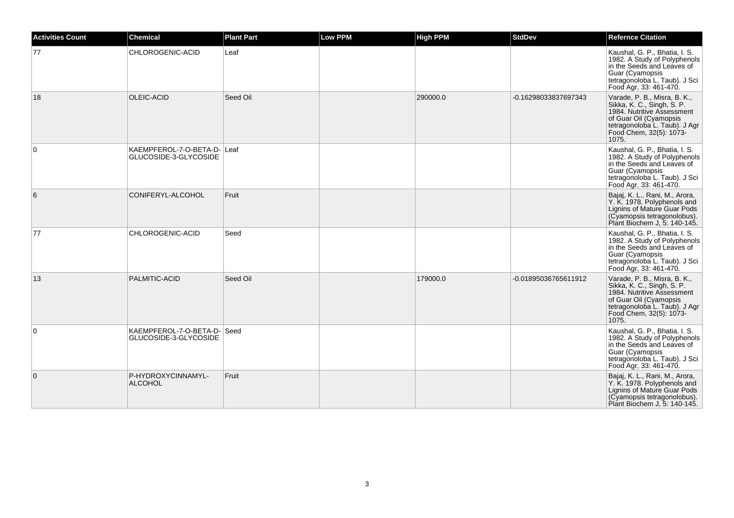| <b>Activities Count</b> | <b>Chemical</b>                                      | <b>Plant Part</b> | Low PPM | <b>High PPM</b> | <b>StdDev</b>        | <b>Refernce Citation</b>                                                                                                                                                                |
|-------------------------|------------------------------------------------------|-------------------|---------|-----------------|----------------------|-----------------------------------------------------------------------------------------------------------------------------------------------------------------------------------------|
| 77                      | CHLOROGENIC-ACID                                     | Leaf              |         |                 |                      | Kaushal, G. P., Bhatia, I. S.<br>1982. A Study of Polyphenols<br>in the Seeds and Leaves of<br>Guar (Cyamopsis<br>tetragonoloba L. Taub). J Sci<br>Food Agr, 33: 461-470.               |
| 18                      | OLEIC-ACID                                           | Seed Oil          |         | 290000.0        | -0.16298033837697343 | Varade, P. B., Misra, B. K.,<br>Sikka, K. C., Singh, S. P.<br>1984. Nutritive Assessment<br>of Guar Oil (Cyamopsis<br>tetragonoloba L. Taub). J Agr<br>Food Chem, 32(5): 1073-<br>1075. |
| 0                       | KAEMPFEROL-7-O-BETA-D- Leaf<br>GLUCOSIDE-3-GLYCOSIDE |                   |         |                 |                      | Kaushal, G. P., Bhatia, I. S.<br>1982. A Study of Polyphenols<br>in the Seeds and Leaves of<br>Guar (Cyamopsis<br>tetragonoloba L. Taub). J Sci<br>Food Agr, 33: 461-470.               |
| 6                       | CONIFERYL-ALCOHOL                                    | Fruit             |         |                 |                      | Bajaj, K. L., Rani, M., Arora,<br>Y. K. 1978. Polyphenols and<br>Lignins of Mature Guar Pods<br>(Cyamopsis tetragonolobus).<br>Plant Biochem J, 5: 140-145.                             |
| 77                      | CHLOROGENIC-ACID                                     | Seed              |         |                 |                      | Kaushal, G. P., Bhatia, I. S.<br>1982. A Study of Polyphenols<br>in the Seeds and Leaves of<br>Guar (Cyamopsis<br>tetragonoloba L. Taub). J Sci<br>Food Agr, 33: 461-470.               |
| 13                      | PALMITIC-ACID                                        | Seed Oil          |         | 179000.0        | -0.01895036765611912 | Varade, P. B., Misra, B. K.,<br>Sikka, K. C., Singh, S. P.<br>1984. Nutritive Assessment<br>of Guar Oil (Cyamopsis<br>tetragonoloba L. Taub). J Agr<br>Food Chem, 32(5): 1073-<br>1075. |
| 0                       | KAEMPFEROL-7-O-BETA-D- Seed<br>GLUCOSIDE-3-GLYCOSIDE |                   |         |                 |                      | Kaushal, G. P., Bhatia, I. S.<br>1982. A Study of Polyphenols<br>in the Seeds and Leaves of<br>Guar (Cyamopsis<br>tetragonoloba L. Taub). J Sci<br>Food Agr, 33: 461-470.               |
| $\Omega$                | P-HYDROXYCINNAMYL-<br><b>ALCOHOL</b>                 | Fruit             |         |                 |                      | Bajaj, K. L., Rani, M., Arora,<br>Y. K. 1978. Polyphenols and<br>Lignins of Mature Guar Pods<br>(Cyamopsis tetragonolobus).<br>Plant Biochem J, 5: 140-145.                             |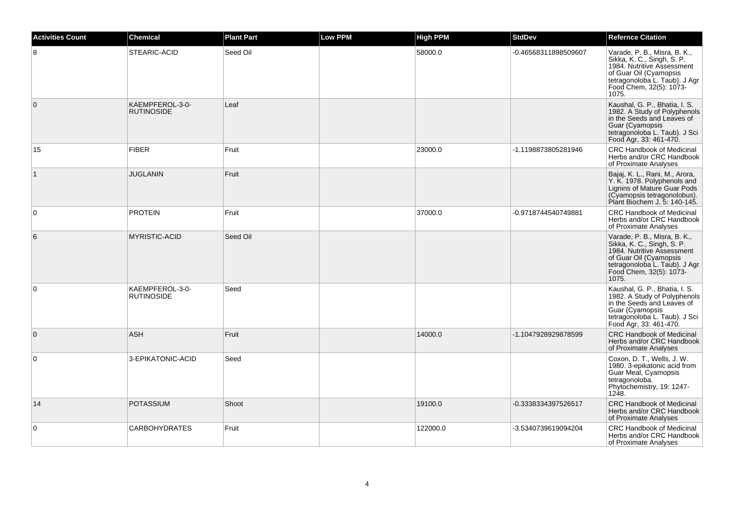| <b>Activities Count</b> | <b>Chemical</b>                      | <b>Plant Part</b> | <b>Low PPM</b> | <b>High PPM</b> | <b>StdDev</b>        | <b>Refernce Citation</b>                                                                                                                                                             |
|-------------------------|--------------------------------------|-------------------|----------------|-----------------|----------------------|--------------------------------------------------------------------------------------------------------------------------------------------------------------------------------------|
| 8                       | STEARIC-ACID                         | Seed Oil          |                | 58000.0         | -0.46568311898509607 | Varade, P. B., Misra, B. K., Sikka, K. C., Singh, S. P.<br>1984. Nutritive Assessment<br>of Guar Oil (Cyamopsis<br>tetragonoloba L. Taub). J Agr<br>Food Chem, 32(5): 1073-<br>1075. |
| $\overline{0}$          | KAEMPFEROL-3-0-<br><b>RUTINOSIDE</b> | Leaf              |                |                 |                      | Kaushal, G. P., Bhatia, I. S.<br>1982. A Study of Polyphenols<br>in the Seeds and Leaves of<br>Guar (Cyamopsis<br>tetragonoloba L. Taub). J Sci<br>Food Agr, 33: 461-470.            |
| 15                      | <b>FIBER</b>                         | Fruit             |                | 23000.0         | -1.1198873805281946  | <b>CRC Handbook of Medicinal</b><br>Herbs and/or CRC Handbook<br>of Proximate Analyses                                                                                               |
| $\vert$ 1               | <b>JUGLANIN</b>                      | Fruit             |                |                 |                      | Bajaj, K. L., Rani, M., Arora,<br>Y. K. 1978. Polyphenols and<br>Lignins of Mature Guar Pods<br>(Cyamopsis tetragonolobus).<br>Plant Biochem J, 5: 140-145.                          |
| $\mathbf 0$             | <b>PROTEIN</b>                       | Fruit             |                | 37000.0         | -0.9718744540749881  | <b>CRC Handbook of Medicinal</b><br>Herbs and/or CRC Handbook<br>of Proximate Analyses                                                                                               |
| 6                       | <b>MYRISTIC-ACID</b>                 | Seed Oil          |                |                 |                      | Varade, P. B., Misra, B. K., Sikka, K. C., Singh, S. P.<br>1984. Nutritive Assessment<br>of Guar Oil (Cyamopsis<br>tetragonoloba L. Taub). J Agr<br>Food Chem, 32(5): 1073-<br>1075. |
| 0                       | KAEMPFEROL-3-0-<br><b>RUTINOSIDE</b> | Seed              |                |                 |                      | Kaushal, G. P., Bhatia, I. S.<br>1982. A Study of Polyphenols<br>in the Seeds and Leaves of<br>Guar (Cyamopsis<br>tetragonoloba L. Taub). J Sci<br>Food Agr, 33: 461-470.            |
| $\mathbf{0}$            | <b>ASH</b>                           | Fruit             |                | 14000.0         | -1.1047928929878599  | <b>CRC Handbook of Medicinal</b><br>Herbs and/or CRC Handbook<br>of Proximate Analyses                                                                                               |
| $\mathbf 0$             | 3-EPIKATONIC-ACID                    | Seed              |                |                 |                      | Coxon, D. T., Wells, J. W.<br>1980. 3-epikatonic acid from<br>Guar Meal, Cyamopsis<br>tetragonoloba.<br>Phytochemistry, 19: 1247-<br>1248.                                           |
| 14                      | <b>POTASSIUM</b>                     | Shoot             |                | 19100.0         | -0.3338334397526517  | <b>CRC Handbook of Medicinal</b><br>Herbs and/or CRC Handbook<br>of Proximate Analyses                                                                                               |
| 0                       | <b>CARBOHYDRATES</b>                 | Fruit             |                | 122000.0        | -3.5340739619094204  | <b>CRC Handbook of Medicinal</b><br>Herbs and/or CRC Handbook<br>of Proximate Analyses                                                                                               |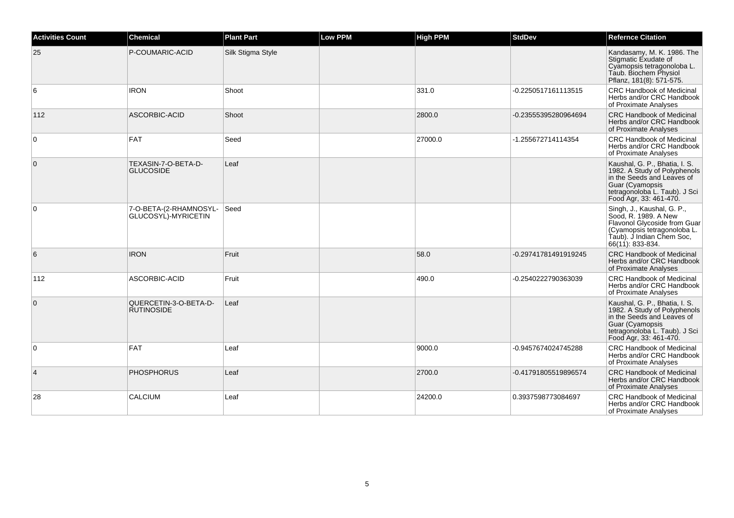| <b>Activities Count</b> | <b>Chemical</b>                                    | <b>Plant Part</b> | <b>Low PPM</b> | <b>High PPM</b> | <b>StdDev</b>        | <b>Refernce Citation</b>                                                                                                                                                  |
|-------------------------|----------------------------------------------------|-------------------|----------------|-----------------|----------------------|---------------------------------------------------------------------------------------------------------------------------------------------------------------------------|
| 25                      | P-COUMARIC-ACID                                    | Silk Stigma Style |                |                 |                      | Kandasamy, M. K. 1986. The<br>Stigmatic Exudate of<br>Cyamopsis tetragonoloba L.<br>Taub. Biochem Physiol<br>Pflanz, 181(8): 571-575.                                     |
| 6                       | <b>IRON</b>                                        | Shoot             |                | 331.0           | -0.2250517161113515  | <b>CRC Handbook of Medicinal</b><br>Herbs and/or CRC Handbook<br>of Proximate Analyses                                                                                    |
| 112                     | ASCORBIC-ACID                                      | Shoot             |                | 2800.0          | -0.23555395280964694 | <b>CRC Handbook of Medicinal</b><br>Herbs and/or CRC Handbook<br>of Proximate Analyses                                                                                    |
| $\mathbf 0$             | <b>FAT</b>                                         | Seed              |                | 27000.0         | -1.255672714114354   | <b>CRC Handbook of Medicinal</b><br>Herbs and/or CRC Handbook<br>of Proximate Analyses                                                                                    |
| $\mathbf{0}$            | TEXASIN-7-O-BETA-D-<br><b>GLUCOSIDE</b>            | Leaf              |                |                 |                      | Kaushal, G. P., Bhatia, I. S.<br>1982. A Study of Polyphenols<br>in the Seeds and Leaves of<br>Guar (Cyamopsis<br>tetragonoloba L. Taub). J Sci<br>Food Agr, 33: 461-470. |
| $\mathbf 0$             | 7-O-BETA-(2-RHAMNOSYL- Seed<br>GLUCOSYL)-MYRICETIN |                   |                |                 |                      | Singh, J., Kaushal, G. P.,<br>Sood, R. 1989. A New<br>Flavonol Glycoside from Guar<br>(Cyamopsis tetragonoloba L.<br>Taub). J Indian Chem Soc,<br>66(11): 833-834.        |
| 6                       | <b>IRON</b>                                        | Fruit             |                | 58.0            | -0.29741781491919245 | <b>CRC Handbook of Medicinal</b><br>Herbs and/or CRC Handbook<br>of Proximate Analyses                                                                                    |
| 112                     | ASCORBIC-ACID                                      | Fruit             |                | 490.0           | -0.2540222790363039  | <b>CRC Handbook of Medicinal</b><br>Herbs and/or CRC Handbook<br>of Proximate Analyses                                                                                    |
| $\mathbf 0$             | QUERCETIN-3-O-BETA-D-<br><b>RUTINOSIDE</b>         | Leaf              |                |                 |                      | Kaushal, G. P., Bhatia, I. S.<br>1982. A Study of Polyphenols<br>in the Seeds and Leaves of<br>Guar (Cyamopsis<br>tetragonoloba L. Taub). J Sci<br>Food Agr, 33: 461-470. |
| $\mathbf 0$             | FAT                                                | Leaf              |                | 9000.0          | -0.9457674024745288  | <b>CRC Handbook of Medicinal</b><br>Herbs and/or CRC Handbook<br>of Proximate Analyses                                                                                    |
| $\overline{4}$          | <b>PHOSPHORUS</b>                                  | Leaf              |                | 2700.0          | -0.41791805519896574 | <b>CRC Handbook of Medicinal</b><br>Herbs and/or CRC Handbook<br>of Proximate Analyses                                                                                    |
| 28                      | <b>CALCIUM</b>                                     | Leaf              |                | 24200.0         | 0.3937598773084697   | <b>CRC Handbook of Medicinal</b><br>Herbs and/or CRC Handbook<br>of Proximate Analyses                                                                                    |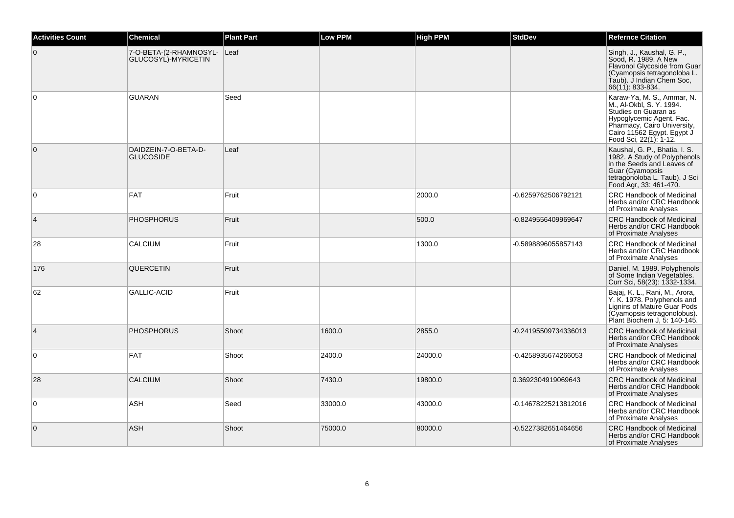| <b>Activities Count</b> | <b>Chemical</b>                                    | <b>Plant Part</b> | Low PPM | <b>High PPM</b> | <b>StdDev</b>        | <b>Refernce Citation</b>                                                                                                                                                                          |
|-------------------------|----------------------------------------------------|-------------------|---------|-----------------|----------------------|---------------------------------------------------------------------------------------------------------------------------------------------------------------------------------------------------|
| $\mathbf 0$             | 7-O-BETA-(2-RHAMNOSYL- Leaf<br>GLUCOSYL)-MYRICETIN |                   |         |                 |                      | Singh, J., Kaushal, G. P.,<br>Sood, R. 1989. A New<br>Flavonol Glycoside from Guar<br>(Cyamopsis tetragonoloba L.<br>Taub). J Indian Chem Soc,<br>66(11): 833-834.                                |
| $\mathbf 0$             | <b>GUARAN</b>                                      | Seed              |         |                 |                      | Karaw-Ya, M. S., Ammar, N.<br>M., Al-Okbl, S. Y. 1994.<br>Studies on Guaran as<br>Hypoglycemic Agent. Fac.<br>Pharmacy, Cairo University,<br>Cairo 11562 Egypt. Egypt J<br>Food Sci, 22(1): 1-12. |
| $\mathbf{0}$            | DAIDZEIN-7-O-BETA-D-<br><b>GLUCOSIDE</b>           | Leaf              |         |                 |                      | Kaushal, G. P., Bhatia, I. S.<br>1982. A Study of Polyphenols<br>in the Seeds and Leaves of<br>Guar (Cyamopsis<br>tetragonoloba L. Taub). J Sci<br>Food Agr, 33: 461-470.                         |
| 0                       | <b>FAT</b>                                         | Fruit             |         | 2000.0          | -0.6259762506792121  | <b>CRC Handbook of Medicinal</b><br>Herbs and/or CRC Handbook<br>of Proximate Analyses                                                                                                            |
| $\overline{4}$          | <b>PHOSPHORUS</b>                                  | Fruit             |         | 500.0           | -0.8249556409969647  | <b>CRC Handbook of Medicinal</b><br>Herbs and/or CRC Handbook<br>of Proximate Analyses                                                                                                            |
| 28                      | CALCIUM                                            | Fruit             |         | 1300.0          | -0.5898896055857143  | <b>CRC Handbook of Medicinal</b><br>Herbs and/or CRC Handbook<br>of Proximate Analyses                                                                                                            |
| 176                     | QUERCETIN                                          | Fruit             |         |                 |                      | Daniel, M. 1989. Polyphenols<br>of Some Indian Vegetables.<br>Curr Sci, 58(23): 1332-1334.                                                                                                        |
| 62                      | GALLIC-ACID                                        | Fruit             |         |                 |                      | Bajaj, K. L., Rani, M., Arora,<br>Y. K. 1978. Polyphenols and<br>Lignins of Mature Guar Pods<br>(Cyamopsis tetragonolobus).<br>Plant Biochem J, 5: 140-145.                                       |
| $\overline{4}$          | <b>PHOSPHORUS</b>                                  | Shoot             | 1600.0  | 2855.0          | -0.24195509734336013 | <b>CRC Handbook of Medicinal</b><br>Herbs and/or CRC Handbook<br>of Proximate Analyses                                                                                                            |
| 0                       | <b>FAT</b>                                         | Shoot             | 2400.0  | 24000.0         | -0.4258935674266053  | <b>CRC Handbook of Medicinal</b><br>Herbs and/or CRC Handbook<br>of Proximate Analyses                                                                                                            |
| 28                      | <b>CALCIUM</b>                                     | Shoot             | 7430.0  | 19800.0         | 0.3692304919069643   | <b>CRC Handbook of Medicinal</b><br>Herbs and/or CRC Handbook<br>of Proximate Analyses                                                                                                            |
| 0                       | ASH                                                | Seed              | 33000.0 | 43000.0         | -0.14678225213812016 | <b>CRC Handbook of Medicinal</b><br>Herbs and/or CRC Handbook<br>of Proximate Analyses                                                                                                            |
| $\mathbf 0$             | <b>ASH</b>                                         | Shoot             | 75000.0 | 80000.0         | -0.5227382651464656  | <b>CRC Handbook of Medicinal</b><br>Herbs and/or CRC Handbook<br>of Proximate Analyses                                                                                                            |